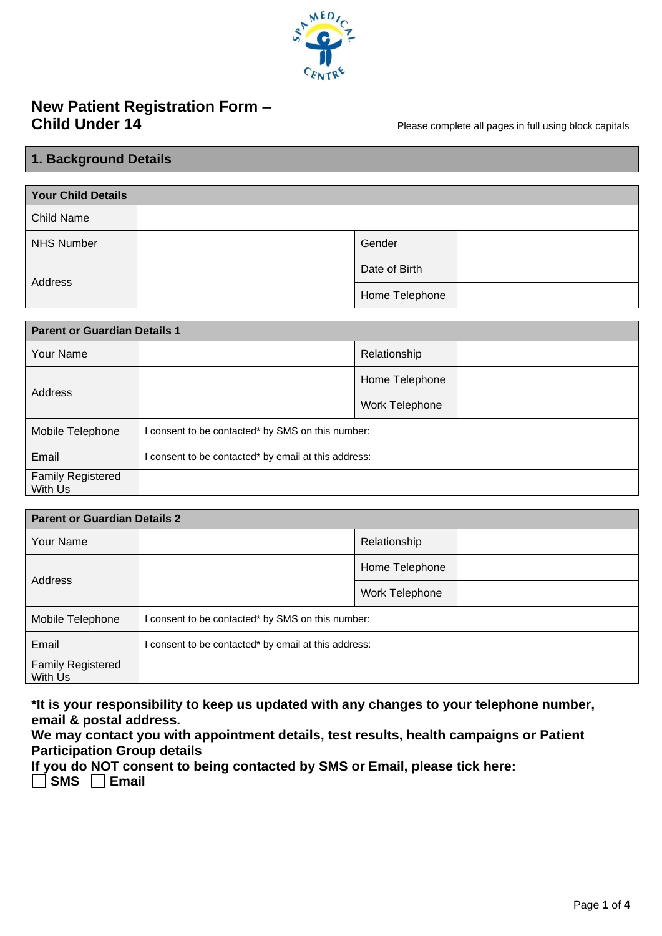

# **New Patient Registration Form – Child Under 14** Please complete all pages in full using block capitals

# **1. Background Details**

| <b>Your Child Details</b> |  |                |  |
|---------------------------|--|----------------|--|
| <b>Child Name</b>         |  |                |  |
| NHS Number                |  | Gender         |  |
| Address                   |  | Date of Birth  |  |
|                           |  | Home Telephone |  |

| <b>Parent or Guardian Details 1</b> |                                                      |                |  |
|-------------------------------------|------------------------------------------------------|----------------|--|
| Your Name                           |                                                      | Relationship   |  |
| Address                             |                                                      | Home Telephone |  |
|                                     |                                                      | Work Telephone |  |
| Mobile Telephone                    | I consent to be contacted* by SMS on this number:    |                |  |
| Email                               | I consent to be contacted* by email at this address: |                |  |
| <b>Family Registered</b><br>With Us |                                                      |                |  |

| <b>Parent or Guardian Details 2</b> |                                                    |                |  |
|-------------------------------------|----------------------------------------------------|----------------|--|
| Your Name                           |                                                    | Relationship   |  |
| Address                             |                                                    | Home Telephone |  |
|                                     |                                                    | Work Telephone |  |
| Mobile Telephone                    | I consent to be contacted* by SMS on this number:  |                |  |
| Email                               | consent to be contacted* by email at this address: |                |  |
| <b>Family Registered</b><br>With Us |                                                    |                |  |

**\*It is your responsibility to keep us updated with any changes to your telephone number, email & postal address.**

**We may contact you with appointment details, test results, health campaigns or Patient Participation Group details** 

**If you do NOT consent to being contacted by SMS or Email, please tick here:** 

**SMS Email**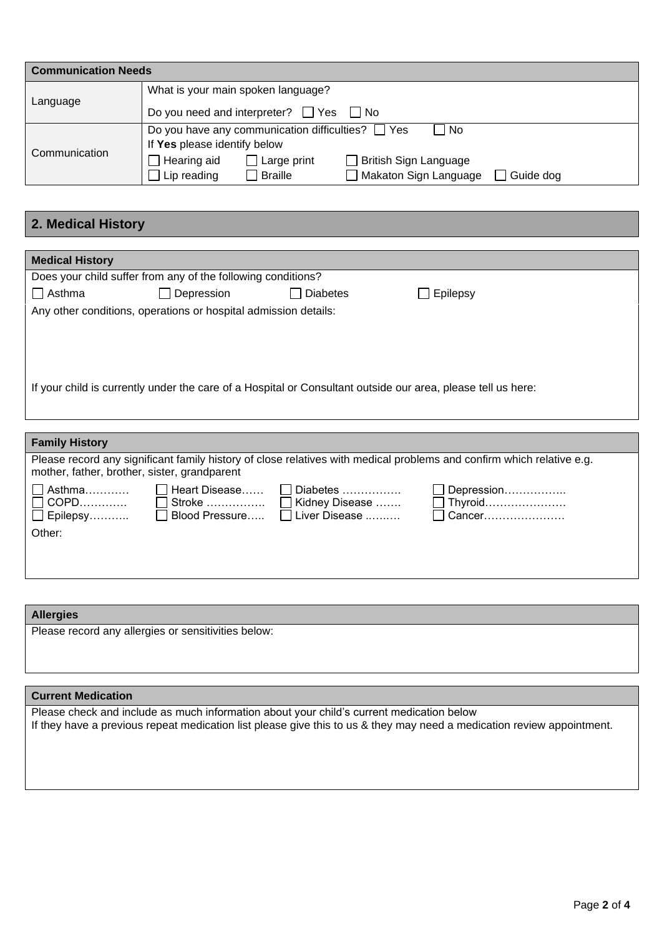| <b>Communication Needs</b> |                                                                            |  |  |
|----------------------------|----------------------------------------------------------------------------|--|--|
|                            | What is your main spoken language?                                         |  |  |
| Language                   | Do you need and interpreter? $\Box$ Yes $\Box$ No                          |  |  |
|                            | Do you have any communication difficulties? $\Box$ Yes<br>l No             |  |  |
| Communication              | If Yes please identify below                                               |  |  |
|                            | $\Box$ Hearing aid<br><b>British Sign Language</b><br>Large print          |  |  |
|                            | Makaton Sign Language<br>$\Box$ Lip reading<br>Guide dog<br><b>Braille</b> |  |  |

# **2. Medical History**

| <b>Medical History</b>                                                                                       |                                                                 |                 |          |  |
|--------------------------------------------------------------------------------------------------------------|-----------------------------------------------------------------|-----------------|----------|--|
|                                                                                                              | Does your child suffer from any of the following conditions?    |                 |          |  |
| $\Box$ Asthma                                                                                                | $\Box$ Depression                                               | <b>Diabetes</b> | Epilepsy |  |
|                                                                                                              | Any other conditions, operations or hospital admission details: |                 |          |  |
|                                                                                                              |                                                                 |                 |          |  |
|                                                                                                              |                                                                 |                 |          |  |
|                                                                                                              |                                                                 |                 |          |  |
| If your child is currently under the care of a Hospital or Consultant outside our area, please tell us here: |                                                                 |                 |          |  |
|                                                                                                              |                                                                 |                 |          |  |
|                                                                                                              |                                                                 |                 |          |  |

| <b>Family History</b>                                     |                 |                                                                                   |                                                                                                                       |
|-----------------------------------------------------------|-----------------|-----------------------------------------------------------------------------------|-----------------------------------------------------------------------------------------------------------------------|
| mother, father, brother, sister, grandparent              |                 |                                                                                   | Please record any significant family history of close relatives with medical problems and confirm which relative e.g. |
| $\Box$ Asthma<br>$\Box$ COPD<br>$\Box$ Epilepsy<br>Other: | □ Heart Disease | $\Box$ Diabetes<br>□ Stroke  □ Kidney Disease<br>□ Blood Pressure □ Liver Disease | $\Box$ Depression<br>$\Box$ Thyroid<br>$\Box$ Cancer                                                                  |

# **Allergies** Please record any allergies or sensitivities below:

#### **Current Medication**

Please check and include as much information about your child's current medication below If they have a previous repeat medication list please give this to us & they may need a medication review appointment.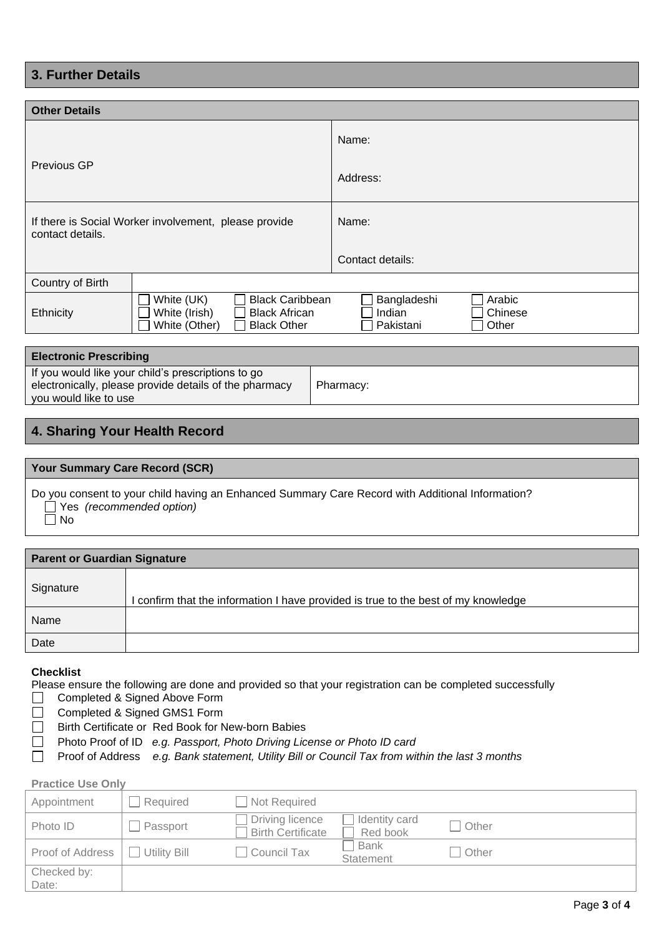# **3. Further Details**

| <b>Other Details</b>                                                                                                                  |  |                                                                  |  |  |
|---------------------------------------------------------------------------------------------------------------------------------------|--|------------------------------------------------------------------|--|--|
|                                                                                                                                       |  | Name:                                                            |  |  |
| Previous GP                                                                                                                           |  | Address:                                                         |  |  |
| If there is Social Worker involvement, please provide<br>contact details.                                                             |  | Name:                                                            |  |  |
|                                                                                                                                       |  | Contact details:                                                 |  |  |
| Country of Birth                                                                                                                      |  |                                                                  |  |  |
| <b>Black Caribbean</b><br>White (UK)<br>White (Irish)<br><b>Black African</b><br>Ethnicity<br>White (Other)<br><b>Black Other</b>     |  | Bangladeshi<br>Arabic<br>Indian<br>Chinese<br>Pakistani<br>Other |  |  |
|                                                                                                                                       |  |                                                                  |  |  |
| <b>Electronic Prescribing</b>                                                                                                         |  |                                                                  |  |  |
| If you would like your child's prescriptions to go<br>electronically, please provide details of the pharmacy<br>you would like to use |  | Pharmacy:                                                        |  |  |

# **4. Sharing Your Health Record**

| <b>Your Summary Care Record (SCR)</b>                                                                                                      |
|--------------------------------------------------------------------------------------------------------------------------------------------|
| Do you consent to your child having an Enhanced Summary Care Record with Additional Information?<br>$\Box$ Yes (recommended option)<br>No. |
|                                                                                                                                            |
| <b>Parent or Guardian Signature</b>                                                                                                        |

| .         |                                                                                  |
|-----------|----------------------------------------------------------------------------------|
| Signature | confirm that the information I have provided is true to the best of my knowledge |
| Name      |                                                                                  |
| Date      |                                                                                  |

## **Checklist**

Please ensure the following are done and provided so that your registration can be completed successfully

□ Completed & Signed Above Form

 $\Box$ Completed & Signed GMS1 Form

- Birth Certificate or Red Book for New-born Babies  $\Box$
- Photo Proof of ID *e.g. Passport, Photo Driving License or Photo ID card*  $\Box$
- Proof of Address *e.g. Bank statement, Utility Bill or Council Tax from within the last 3 months*  $\Box$

# **Practice Use Only**

| Appointment          | Required     | Not Required                                |                                 |       |
|----------------------|--------------|---------------------------------------------|---------------------------------|-------|
| Photo ID             | Passport     | Driving licence<br><b>Birth Certificate</b> | Identity card<br>Red book       | Other |
| Proof of Address     | Utility Bill | Council Tax                                 | <b>Bank</b><br><b>Statement</b> | Other |
| Checked by:<br>Date: |              |                                             |                                 |       |